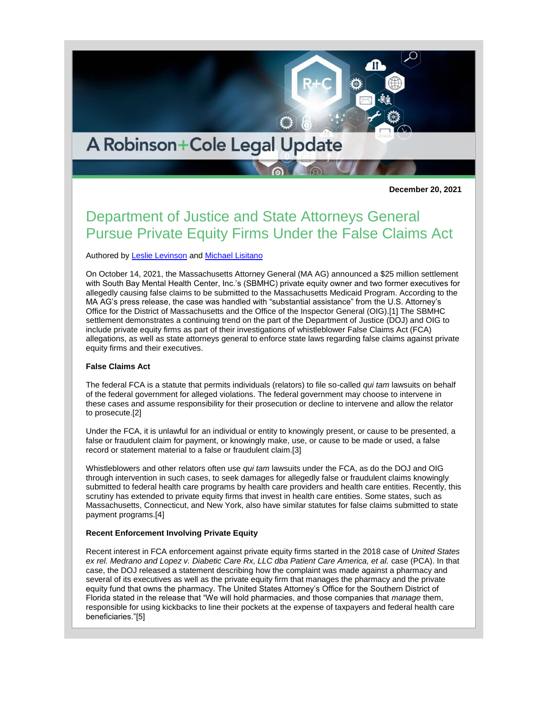# A Robinson+Cole Legal Update

**December 20, 2021**

# Department of Justice and State Attorneys General Pursue Private Equity Firms Under the False Claims Act

# Authored by [Leslie Levinson](https://www.rc.com/people/LeslieJLevinson.cfm) and [Michael Lisitano](https://www.rc.com/people/MichaelGLisitano.cfm)

On October 14, 2021, the Massachusetts Attorney General (MA AG) announced a \$25 million settlement with South Bay Mental Health Center, Inc.'s (SBMHC) private equity owner and two former executives for allegedly causing false claims to be submitted to the Massachusetts Medicaid Program. According to the MA AG's press release, the case was handled with "substantial assistance" from the U.S. Attorney's Office for the District of Massachusetts and the Office of the Inspector General (OIG).[1] The SBMHC settlement demonstrates a continuing trend on the part of the Department of Justice (DOJ) and OIG to include private equity firms as part of their investigations of whistleblower False Claims Act (FCA) allegations, as well as state attorneys general to enforce state laws regarding false claims against private equity firms and their executives.

#### **False Claims Act**

The federal FCA is a statute that permits individuals (relators) to file so-called *qui tam* lawsuits on behalf of the federal government for alleged violations. The federal government may choose to intervene in these cases and assume responsibility for their prosecution or decline to intervene and allow the relator to prosecute.[2]

Under the FCA, it is unlawful for an individual or entity to knowingly present, or cause to be presented, a false or fraudulent claim for payment, or knowingly make, use, or cause to be made or used, a false record or statement material to a false or fraudulent claim.[3]

Whistleblowers and other relators often use *qui tam* lawsuits under the FCA, as do the DOJ and OIG through intervention in such cases, to seek damages for allegedly false or fraudulent claims knowingly submitted to federal health care programs by health care providers and health care entities. Recently, this scrutiny has extended to private equity firms that invest in health care entities. Some states, such as Massachusetts, Connecticut, and New York, also have similar statutes for false claims submitted to state payment programs.[4]

#### **Recent Enforcement Involving Private Equity**

Recent interest in FCA enforcement against private equity firms started in the 2018 case of *United States ex rel. Medrano and Lopez v. Diabetic Care Rx, LLC dba Patient Care America, et al.* case (PCA). In that case, the DOJ released a statement describing how the complaint was made against a pharmacy and several of its executives as well as the private equity firm that manages the pharmacy and the private equity fund that owns the pharmacy. The United States Attorney's Office for the Southern District of Florida stated in the release that "We will hold pharmacies, and those companies that *manage* them, responsible for using kickbacks to line their pockets at the expense of taxpayers and federal health care beneficiaries."[5]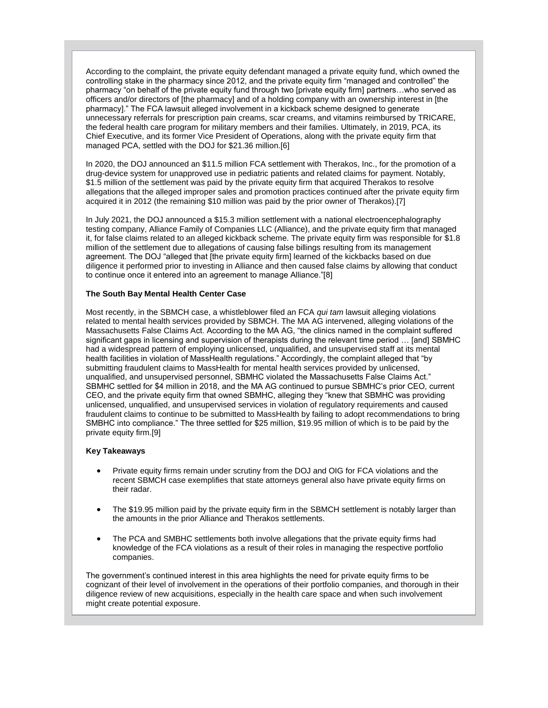According to the complaint, the private equity defendant managed a private equity fund, which owned the controlling stake in the pharmacy since 2012, and the private equity firm "managed and controlled" the pharmacy "on behalf of the private equity fund through two [private equity firm] partners…who served as officers and/or directors of [the pharmacy] and of a holding company with an ownership interest in [the pharmacy]." The FCA lawsuit alleged involvement in a kickback scheme designed to generate unnecessary referrals for prescription pain creams, scar creams, and vitamins reimbursed by TRICARE, the federal health care program for military members and their families. Ultimately, in 2019, PCA, its Chief Executive, and its former Vice President of Operations, along with the private equity firm that managed PCA, settled with the DOJ for \$21.36 million.[6]

In 2020, the DOJ announced an \$11.5 million FCA settlement with Therakos, Inc., for the promotion of a drug-device system for unapproved use in pediatric patients and related claims for payment. Notably, \$1.5 million of the settlement was paid by the private equity firm that acquired Therakos to resolve allegations that the alleged improper sales and promotion practices continued after the private equity firm acquired it in 2012 (the remaining \$10 million was paid by the prior owner of Therakos).[7]

In July 2021, the DOJ announced a \$15.3 million settlement with a national electroencephalography testing company, Alliance Family of Companies LLC (Alliance), and the private equity firm that managed it, for false claims related to an alleged kickback scheme. The private equity firm was responsible for \$1.8 million of the settlement due to allegations of causing false billings resulting from its management agreement. The DOJ "alleged that [the private equity firm] learned of the kickbacks based on due diligence it performed prior to investing in Alliance and then caused false claims by allowing that conduct to continue once it entered into an agreement to manage Alliance."[8]

### **The South Bay Mental Health Center Case**

Most recently, in the SBMCH case, a whistleblower filed an FCA *qui tam* lawsuit alleging violations related to mental health services provided by SBMCH. The MA AG intervened, alleging violations of the Massachusetts False Claims Act. According to the MA AG, "the clinics named in the complaint suffered significant gaps in licensing and supervision of therapists during the relevant time period … [and] SBMHC had a widespread pattern of employing unlicensed, unqualified, and unsupervised staff at its mental health facilities in violation of MassHealth regulations." Accordingly, the complaint alleged that "by submitting fraudulent claims to MassHealth for mental health services provided by unlicensed, unqualified, and unsupervised personnel, SBMHC violated the Massachusetts False Claims Act." SBMHC settled for \$4 million in 2018, and the MA AG continued to pursue SBMHC's prior CEO, current CEO, and the private equity firm that owned SBMHC, alleging they "knew that SBMHC was providing unlicensed, unqualified, and unsupervised services in violation of regulatory requirements and caused fraudulent claims to continue to be submitted to MassHealth by failing to adopt recommendations to bring SMBHC into compliance." The three settled for \$25 million, \$19.95 million of which is to be paid by the private equity firm.[9]

#### **Key Takeaways**

- Private equity firms remain under scrutiny from the DOJ and OIG for FCA violations and the recent SBMCH case exemplifies that state attorneys general also have private equity firms on their radar.
- The \$19.95 million paid by the private equity firm in the SBMCH settlement is notably larger than the amounts in the prior Alliance and Therakos settlements.
- The PCA and SMBHC settlements both involve allegations that the private equity firms had knowledge of the FCA violations as a result of their roles in managing the respective portfolio companies.

The government's continued interest in this area highlights the need for private equity firms to be cognizant of their level of involvement in the operations of their portfolio companies, and thorough in their diligence review of new acquisitions, especially in the health care space and when such involvement might create potential exposure.